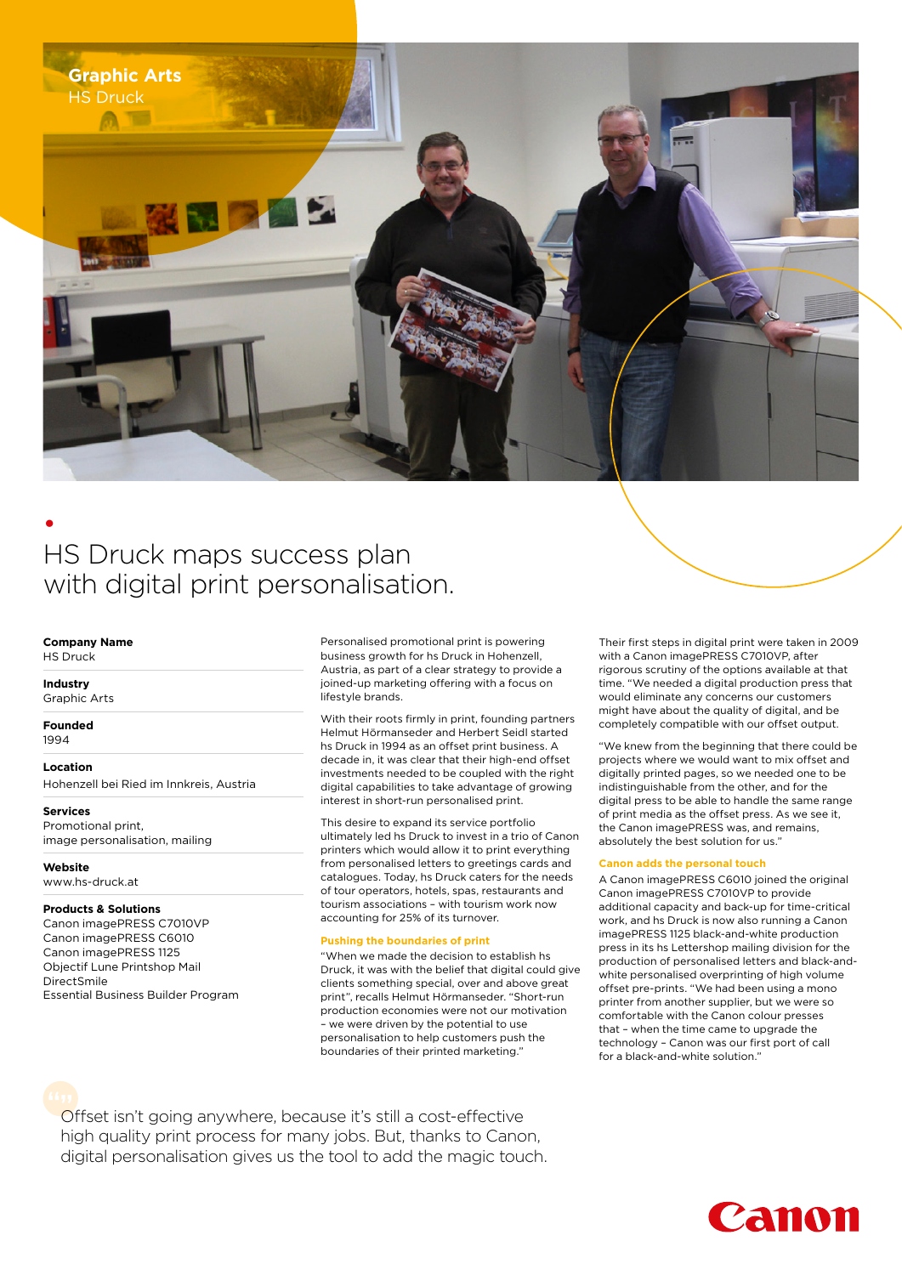

# • HS Druck maps success plan with digital print personalisation.

#### **Company Name**

HS Druck

#### **Industry**

Graphic Arts

**Founded** 1994

#### **Location**

Hohenzell bei Ried im Innkreis, Austria

**Services** Promotional print,

image personalisation, mailing

## **Website**

www.hs-druck.at

### **Products & Solutions**

Canon imagePRESS C7010VP Canon imagePRESS C6010 Canon imagePRESS 1125 Objectif Lune Printshop Mail DirectSmile Essential Business Builder Program Personalised promotional print is powering business growth for hs Druck in Hohenzell, Austria, as part of a clear strategy to provide a joined-up marketing offering with a focus on lifestyle brands.

With their roots firmly in print, founding partners Helmut Hörmanseder and Herbert Seidl started hs Druck in 1994 as an offset print business. A decade in, it was clear that their high-end offset investments needed to be coupled with the right digital capabilities to take advantage of growing interest in short-run personalised print.

This desire to expand its service portfolio ultimately led hs Druck to invest in a trio of Canon printers which would allow it to print everything from personalised letters to greetings cards and catalogues. Today, hs Druck caters for the needs of tour operators, hotels, spas, restaurants and tourism associations – with tourism work now accounting for 25% of its turnover.

#### **Pushing the boundaries of print**

"When we made the decision to establish hs Druck, it was with the belief that digital could give clients something special, over and above great print", recalls Helmut Hörmanseder. "Short-run production economies were not our motivation – we were driven by the potential to use personalisation to help customers push the boundaries of their printed marketing."

Their first steps in digital print were taken in 2009 with a Canon imagePRESS C7010VP, after rigorous scrutiny of the options available at that time. "We needed a digital production press that would eliminate any concerns our customers might have about the quality of digital, and be completely compatible with our offset output.

"We knew from the beginning that there could be projects where we would want to mix offset and digitally printed pages, so we needed one to be indistinguishable from the other, and for the digital press to be able to handle the same range of print media as the offset press. As we see it, the Canon imagePRESS was, and remains, absolutely the best solution for us.'

#### **Canon adds the personal touch**

A Canon imagePRESS C6010 joined the original Canon imagePRESS C7010VP to provide additional capacity and back-up for time-critical work, and hs Druck is now also running a Canon imagePRESS 1125 black-and-white production press in its hs Lettershop mailing division for the production of personalised letters and black-andwhite personalised overprinting of high volume offset pre-prints. "We had been using a mono printer from another supplier, but we were so comfortable with the Canon colour presses that – when the time came to upgrade the technology – Canon was our first port of call for a black-and-white solution."

Offset isn't going anywhere, because it's still a cost-effective **""**high quality print process for many jobs. But, thanks to Canon, digital personalisation gives us the tool to add the magic touch.